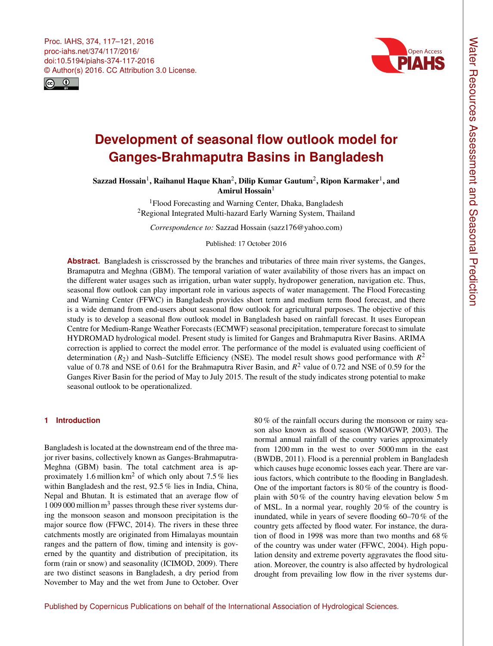<span id="page-0-1"></span>Proc. IAHS, 374, 117–121, 2016 proc-iahs.net/374/117/2016/ doi:10.5194/piahs-374-117-2016 © Author(s) 2016. CC Attribution 3.0 License.





# **Development of seasonal flow outlook model for Ganges-Brahmaputra Basins in Bangladesh**

Sazzad Hossain $^1$  $^1$ , Raihanul Haque Khan $^2$  $^2$ , Dilip Kumar Gautum $^2$ , Ripon Karmaker $^1$ , and Amirul Hossain $<sup>1</sup>$  $<sup>1</sup>$  $<sup>1</sup>$ </sup>

> <sup>1</sup>Flood Forecasting and Warning Center, Dhaka, Bangladesh <sup>2</sup>Regional Integrated Multi-hazard Early Warning System, Thailand

*Correspondence to:* Sazzad Hossain (sazz176@yahoo.com)

#### Published: 17 October 2016

**Abstract.** Bangladesh is crisscrossed by the branches and tributaries of three main river systems, the Ganges, Bramaputra and Meghna (GBM). The temporal variation of water availability of those rivers has an impact on the different water usages such as irrigation, urban water supply, hydropower generation, navigation etc. Thus, seasonal flow outlook can play important role in various aspects of water management. The Flood Forecasting and Warning Center (FFWC) in Bangladesh provides short term and medium term flood forecast, and there is a wide demand from end-users about seasonal flow outlook for agricultural purposes. The objective of this study is to develop a seasonal flow outlook model in Bangladesh based on rainfall forecast. It uses European Centre for Medium-Range Weather Forecasts (ECMWF) seasonal precipitation, temperature forecast to simulate HYDROMAD hydrological model. Present study is limited for Ganges and Brahmaputra River Basins. ARIMA correction is applied to correct the model error. The performance of the model is evaluated using coefficient of determination ( $R_2$ ) and Nash–Sutcliffe Efficiency (NSE). The model result shows good performance with  $R^2$ value of 0.78 and NSE of 0.61 for the Brahmaputra River Basin, and  $R^2$  value of 0.72 and NSE of 0.59 for the Ganges River Basin for the period of May to July 2015. The result of the study indicates strong potential to make seasonal outlook to be operationalized.

## <span id="page-0-0"></span>**1 Introduction**

Bangladesh is located at the downstream end of the three major river basins, collectively known as Ganges-Brahmaputra-Meghna (GBM) basin. The total catchment area is approximately 1.6 million  $km^2$  of which only about 7.5 % lies within Bangladesh and the rest, 92.5 % lies in India, China, Nepal and Bhutan. It is estimated that an average flow of 1 009 000 million  $m<sup>3</sup>$  passes through these river systems during the monsoon season and monsoon precipitation is the major source flow (FFWC, 2014). The rivers in these three catchments mostly are originated from Himalayas mountain ranges and the pattern of flow, timing and intensity is governed by the quantity and distribution of precipitation, its form (rain or snow) and seasonality (ICIMOD, 2009). There are two distinct seasons in Bangladesh, a dry period from November to May and the wet from June to October. Over

80 % of the rainfall occurs during the monsoon or rainy season also known as flood season (WMO/GWP, 2003). The normal annual rainfall of the country varies approximately from 1200 mm in the west to over 5000 mm in the east (BWDB, 2011). Flood is a perennial problem in Bangladesh which causes huge economic losses each year. There are various factors, which contribute to the flooding in Bangladesh. One of the important factors is 80 % of the country is floodplain with 50 % of the country having elevation below 5 m of MSL. In a normal year, roughly 20 % of the country is inundated, while in years of severe flooding 60–70 % of the country gets affected by flood water. For instance, the duration of flood in 1998 was more than two months and 68 % of the country was under water (FFWC, 2004). High population density and extreme poverty aggravates the flood situation. Moreover, the country is also affected by hydrological drought from prevailing low flow in the river systems dur-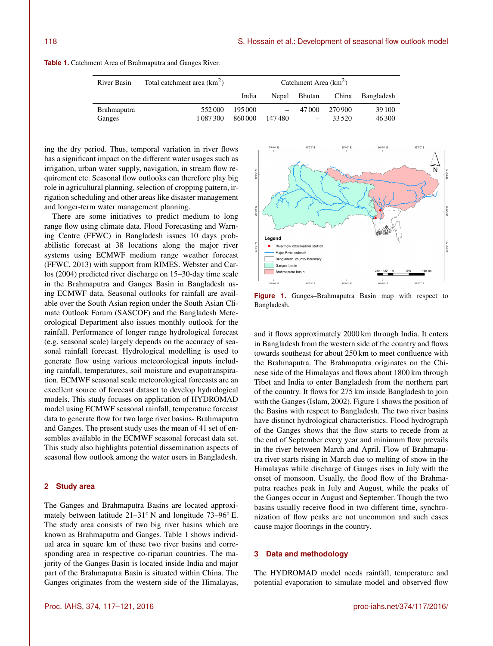| River Basin                  | Total catchment area $(km2)$ | Catchment Area $(km2)$ |        |        |                   |                  |
|------------------------------|------------------------------|------------------------|--------|--------|-------------------|------------------|
|                              |                              | India                  | Nepal  | Bhutan |                   | China Bangladesh |
| <b>Brahmaputra</b><br>Ganges | 552000<br>1 087 300          | 195000<br>860000       | 147480 | 47000  | 270.900<br>33.520 | 39 100<br>46 300 |

**Table 1.** Catchment Area of Brahmaputra and Ganges River.

ing the dry period. Thus, temporal variation in river flows has a significant impact on the different water usages such as irrigation, urban water supply, navigation, in stream flow requirement etc. Seasonal flow outlooks can therefore play big role in agricultural planning, selection of cropping pattern, irrigation scheduling and other areas like disaster management and longer-term water management planning.

There are some initiatives to predict medium to long range flow using climate data. Flood Forecasting and Warning Centre (FFWC) in Bangladesh issues 10 days probabilistic forecast at 38 locations along the major river systems using ECMWF medium range weather forecast (FFWC, 2013) with support from RIMES. Webster and Carlos (2004) predicted river discharge on 15–30-day time scale in the Brahmaputra and Ganges Basin in Bangladesh using ECMWF data. Seasonal outlooks for rainfall are available over the South Asian region under the South Asian Climate Outlook Forum (SASCOF) and the Bangladesh Meteorological Department also issues monthly outlook for the rainfall. Performance of longer range hydrological forecast (e.g. seasonal scale) largely depends on the accuracy of seasonal rainfall forecast. Hydrological modelling is used to generate flow using various meteorological inputs including rainfall, temperatures, soil moisture and evapotranspiration. ECMWF seasonal scale meteorological forecasts are an excellent source of forecast dataset to develop hydrological models. This study focuses on application of HYDROMAD model using ECMWF seasonal rainfall, temperature forecast data to generate flow for two large river basins- Brahmaputra and Ganges. The present study uses the mean of 41 set of ensembles available in the ECMWF seasonal forecast data set. This study also highlights potential dissemination aspects of seasonal flow outlook among the water users in Bangladesh.

## **2 Study area**

The Ganges and Brahmaputra Basins are located approximately between latitude 21–31◦ N and longitude 73–96◦ E. The study area consists of two big river basins which are known as Brahmaputra and Ganges. Table 1 shows individual area in square km of these two river basins and corresponding area in respective co-riparian countries. The majority of the Ganges Basin is located inside India and major part of the Brahmaputra Basin is situated within China. The Ganges originates from the western side of the Himalayas,



**Figure 1.** Ganges–Brahmaputra Basin map with respect to Bangladesh.

and it flows approximately 2000 km through India. It enters in Bangladesh from the western side of the country and flows towards southeast for about 250 km to meet confluence with the Brahmaputra. The Brahmaputra originates on the Chinese side of the Himalayas and flows about 1800 km through Tibet and India to enter Bangladesh from the northern part of the country. It flows for 275 km inside Bangladesh to join with the Ganges (Islam, 2002). Figure 1 shows the position of the Basins with respect to Bangladesh. The two river basins have distinct hydrological characteristics. Flood hydrograph of the Ganges shows that the flow starts to recede from at the end of September every year and minimum flow prevails in the river between March and April. Flow of Brahmaputra river starts rising in March due to melting of snow in the Himalayas while discharge of Ganges rises in July with the onset of monsoon. Usually, the flood flow of the Brahmaputra reaches peak in July and August, while the peaks of the Ganges occur in August and September. Though the two basins usually receive flood in two different time, synchronization of flow peaks are not uncommon and such cases cause major floorings in the country.

#### **3 Data and methodology**

The HYDROMAD model needs rainfall, temperature and potential evaporation to simulate model and observed flow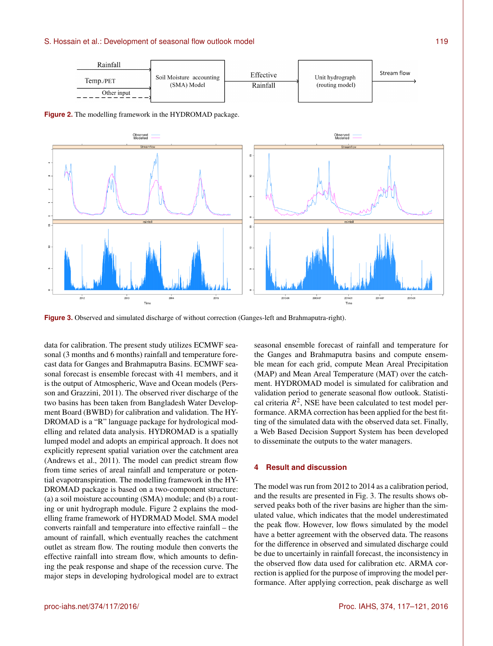### S. Hossain et al.: Development of seasonal flow outlook model **119** and 119



**Figure 3.** Observed and simulated discharge of without correction (Ganges-left and Brahmaputra-right).

data for calibration. The present study utilizes ECMWF seasonal (3 months and 6 months) rainfall and temperature forecast data for Ganges and Brahmaputra Basins. ECMWF seasonal forecast is ensemble forecast with 41 members, and it is the output of Atmospheric, Wave and Ocean models (Persson and Grazzini, 2011). The observed river discharge of the two basins has been taken from Bangladesh Water Development Board (BWBD) for calibration and validation. The HY-DROMAD is a "R" language package for hydrological modelling and related data analysis. HYDROMAD is a spatially lumped model and adopts an empirical approach. It does not explicitly represent spatial variation over the catchment area (Andrews et al., 2011). The model can predict stream flow from time series of areal rainfall and temperature or potential evapotranspiration. The modelling framework in the HY-DROMAD package is based on a two-component structure: (a) a soil moisture accounting (SMA) module; and (b) a routing or unit hydrograph module. Figure 2 explains the modelling frame framework of HYDRMAD Model. SMA model converts rainfall and temperature into effective rainfall – the amount of rainfall, which eventually reaches the catchment outlet as stream flow. The routing module then converts the effective rainfall into stream flow, which amounts to defining the peak response and shape of the recession curve. The major steps in developing hydrological model are to extract

seasonal ensemble forecast of rainfall and temperature for the Ganges and Brahmaputra basins and compute ensemble mean for each grid, compute Mean Areal Precipitation (MAP) and Mean Areal Temperature (MAT) over the catchment. HYDROMAD model is simulated for calibration and validation period to generate seasonal flow outlook. Statistical criteria  $R^2$ , NSE have been calculated to test model performance. ARMA correction has been applied for the best fitting of the simulated data with the observed data set. Finally, a Web Based Decision Support System has been developed to disseminate the outputs to the water managers.

# **4 Result and discussion**

The model was run from 2012 to 2014 as a calibration period, and the results are presented in Fig. 3. The results shows observed peaks both of the river basins are higher than the simulated value, which indicates that the model underestimated the peak flow. However, low flows simulated by the model have a better agreement with the observed data. The reasons for the difference in observed and simulated discharge could be due to uncertainly in rainfall forecast, the inconsistency in the observed flow data used for calibration etc. ARMA correction is applied for the purpose of improving the model performance. After applying correction, peak discharge as well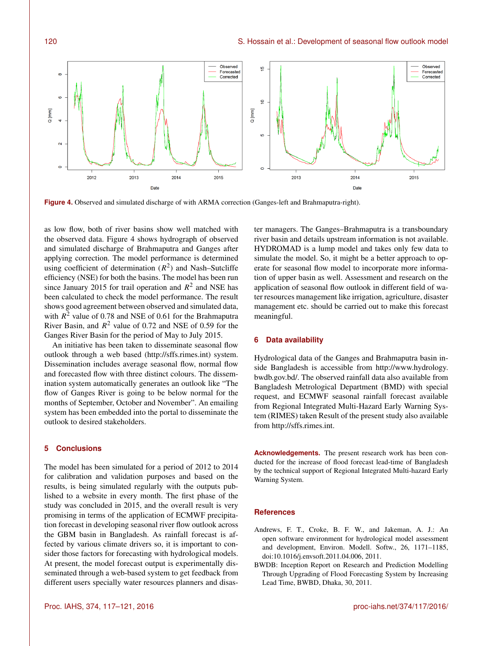

**Figure 4.** Observed and simulated discharge of with ARMA correction (Ganges-left and Brahmaputra-right).

as low flow, both of river basins show well matched with the observed data. Figure 4 shows hydrograph of observed and simulated discharge of Brahmaputra and Ganges after applying correction. The model performance is determined using coefficient of determination  $(R^2)$  and Nash-Sutcliffe efficiency (NSE) for both the basins. The model has been run since January 2015 for trail operation and  $R^2$  and NSE has been calculated to check the model performance. The result shows good agreement between observed and simulated data, with  $R^2$  value of 0.78 and NSE of 0.61 for the Brahmaputra River Basin, and  $R^2$  value of 0.72 and NSE of 0.59 for the Ganges River Basin for the period of May to July 2015.

An initiative has been taken to disseminate seasonal flow outlook through a web based [\(http://sffs.rimes.int\)](http://sffs.rimes.int) system. Dissemination includes average seasonal flow, normal flow and forecasted flow with three distinct colours. The dissemination system automatically generates an outlook like "The flow of Ganges River is going to be below normal for the months of September, October and November". An emailing system has been embedded into the portal to disseminate the outlook to desired stakeholders.

## **5 Conclusions**

The model has been simulated for a period of 2012 to 2014 for calibration and validation purposes and based on the results, is being simulated regularly with the outputs published to a website in every month. The first phase of the study was concluded in 2015, and the overall result is very promising in terms of the application of ECMWF precipitation forecast in developing seasonal river flow outlook across the GBM basin in Bangladesh. As rainfall forecast is affected by various climate drivers so, it is important to consider those factors for forecasting with hydrological models. At present, the model forecast output is experimentally disseminated through a web-based system to get feedback from different users specially water resources planners and disaster managers. The Ganges–Brahmaputra is a transboundary river basin and details upstream information is not available. HYDROMAD is a lump model and takes only few data to simulate the model. So, it might be a better approach to operate for seasonal flow model to incorporate more information of upper basin as well. Assessment and research on the application of seasonal flow outlook in different field of water resources management like irrigation, agriculture, disaster management etc. should be carried out to make this forecast meaningful.

## **6 Data availability**

Hydrological data of the Ganges and Brahmaputra basin inside Bangladesh is accessible from [http://www.hydrology.](http://www.hydrology.bwdb.gov.bd/) [bwdb.gov.bd/.](http://www.hydrology.bwdb.gov.bd/) The observed rainfall data also available from Bangladesh Metrological Department (BMD) with special request, and ECMWF seasonal rainfall forecast available from Regional Integrated Multi-Hazard Early Warning System (RIMES) taken Result of the present study also available from [http://sffs.rimes.int.](http://sffs.rimes.int)

**Acknowledgements.** The present research work has been conducted for the increase of flood forecast lead-time of Bangladesh by the technical support of Regional Integrated Multi-hazard Early Warning System.

#### **References**

- Andrews, F. T., Croke, B. F. W., and Jakeman, A. J.: An open software environment for hydrological model assessment and development, Environ. Modell. Softw., 26, 1171–1185, doi[:10.1016/j.envsoft.2011.04.006,](http://dx.doi.org/10.1016/j.envsoft.2011.04.006) 2011.
- BWDB: Inception Report on Research and Prediction Modelling Through Upgrading of Flood Forecasting System by Increasing Lead Time, BWBD, Dhaka, 30, 2011.